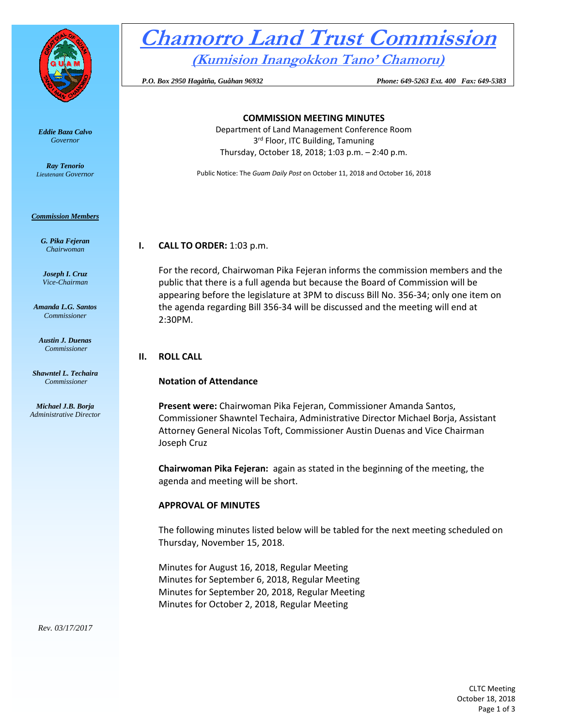

*Eddie Baza Calvo Governor* 

*Ray Tenorio Lieutenant Governor* 

#### *Commission Members*

*G. Pika Fejeran Chairwoman*

*Joseph I. Cruz Vice-Chairman*

*Amanda L.G. Santos Commissioner*

*Austin J. Duenas Commissioner*

*Shawntel L. Techaira Commissioner*

*Michael J.B. Borja Administrative Director*

# **Chamorro Land Trust Commission (Kumision Inangokkon Tano' Chamoru)**

 *P.O. Box 2950 Hagåtña, Guåhan 96932 Phone: 649-5263 Ext. 400 Fax: 649-5383*

#### **COMMISSION MEETING MINUTES**

Department of Land Management Conference Room 3<sup>rd</sup> Floor, ITC Building, Tamuning Thursday, October 18, 2018; 1:03 p.m. – 2:40 p.m.

Public Notice: The *Guam Daily Post* on October 11, 2018 and October 16, 2018

#### **I. CALL TO ORDER:** 1:03 p.m.

For the record, Chairwoman Pika Fejeran informs the commission members and the public that there is a full agenda but because the Board of Commission will be appearing before the legislature at 3PM to discuss Bill No. 356-34; only one item on the agenda regarding Bill 356-34 will be discussed and the meeting will end at 2:30PM.

### **II. ROLL CALL**

### **Notation of Attendance**

**Present were:** Chairwoman Pika Fejeran, Commissioner Amanda Santos, Commissioner Shawntel Techaira, Administrative Director Michael Borja, Assistant Attorney General Nicolas Toft, Commissioner Austin Duenas and Vice Chairman Joseph Cruz

**Chairwoman Pika Fejeran:** again as stated in the beginning of the meeting, the agenda and meeting will be short.

### **APPROVAL OF MINUTES**

The following minutes listed below will be tabled for the next meeting scheduled on Thursday, November 15, 2018.

Minutes for August 16, 2018, Regular Meeting Minutes for September 6, 2018, Regular Meeting Minutes for September 20, 2018, Regular Meeting Minutes for October 2, 2018, Regular Meeting

*Rev. 03/17/2017*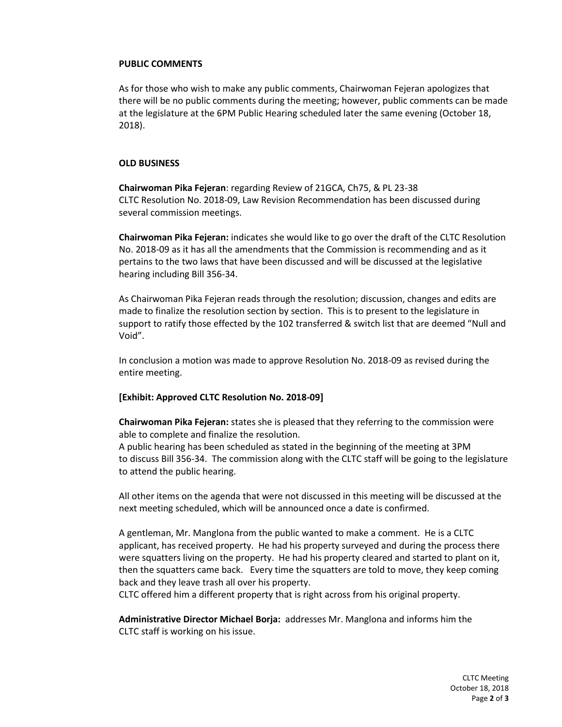#### **PUBLIC COMMENTS**

As for those who wish to make any public comments, Chairwoman Fejeran apologizes that there will be no public comments during the meeting; however, public comments can be made at the legislature at the 6PM Public Hearing scheduled later the same evening (October 18, 2018).

#### **OLD BUSINESS**

**Chairwoman Pika Fejeran**: regarding Review of 21GCA, Ch75, & PL 23-38 CLTC Resolution No. 2018-09, Law Revision Recommendation has been discussed during several commission meetings.

**Chairwoman Pika Fejeran:** indicates she would like to go over the draft of the CLTC Resolution No. 2018-09 as it has all the amendments that the Commission is recommending and as it pertains to the two laws that have been discussed and will be discussed at the legislative hearing including Bill 356-34.

As Chairwoman Pika Fejeran reads through the resolution; discussion, changes and edits are made to finalize the resolution section by section. This is to present to the legislature in support to ratify those effected by the 102 transferred & switch list that are deemed "Null and Void".

In conclusion a motion was made to approve Resolution No. 2018-09 as revised during the entire meeting.

#### **[Exhibit: Approved CLTC Resolution No. 2018-09]**

**Chairwoman Pika Fejeran:** states she is pleased that they referring to the commission were able to complete and finalize the resolution.

A public hearing has been scheduled as stated in the beginning of the meeting at 3PM to discuss Bill 356-34. The commission along with the CLTC staff will be going to the legislature to attend the public hearing.

All other items on the agenda that were not discussed in this meeting will be discussed at the next meeting scheduled, which will be announced once a date is confirmed.

A gentleman, Mr. Manglona from the public wanted to make a comment. He is a CLTC applicant, has received property. He had his property surveyed and during the process there were squatters living on the property. He had his property cleared and started to plant on it, then the squatters came back. Every time the squatters are told to move, they keep coming back and they leave trash all over his property.

CLTC offered him a different property that is right across from his original property.

**Administrative Director Michael Borja:** addresses Mr. Manglona and informs him the CLTC staff is working on his issue.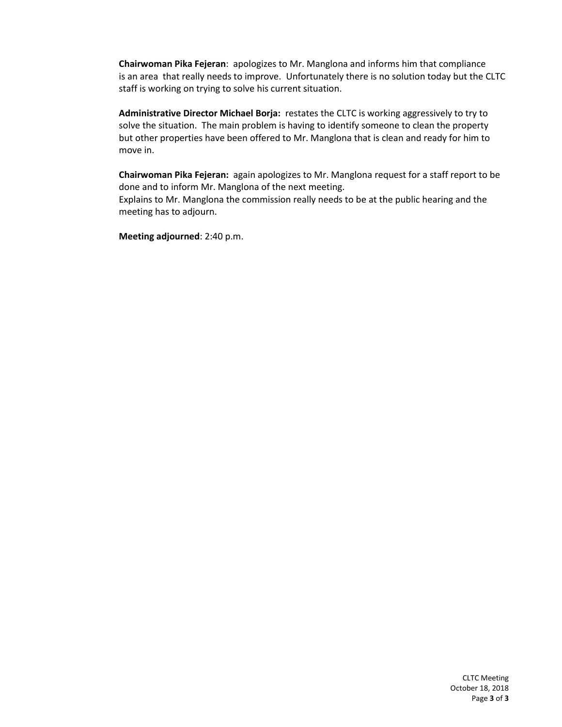**Chairwoman Pika Fejeran**: apologizes to Mr. Manglona and informs him that compliance is an area that really needs to improve. Unfortunately there is no solution today but the CLTC staff is working on trying to solve his current situation.

**Administrative Director Michael Borja:** restates the CLTC is working aggressively to try to solve the situation. The main problem is having to identify someone to clean the property but other properties have been offered to Mr. Manglona that is clean and ready for him to move in.

**Chairwoman Pika Fejeran:** again apologizes to Mr. Manglona request for a staff report to be done and to inform Mr. Manglona of the next meeting. Explains to Mr. Manglona the commission really needs to be at the public hearing and the meeting has to adjourn.

**Meeting adjourned**: 2:40 p.m.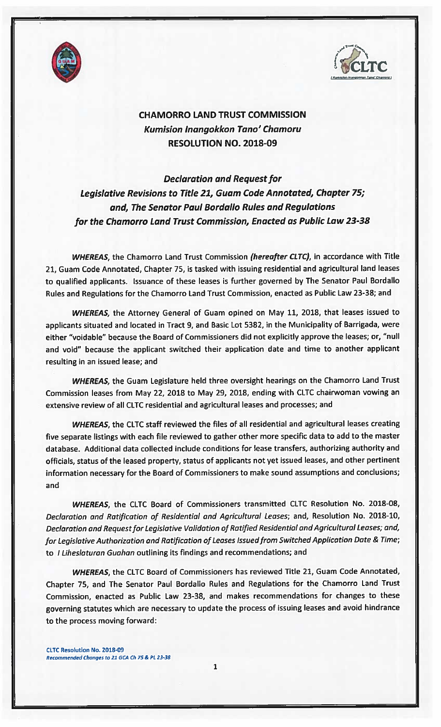



## **CHAMORRO LAND TRUST COMMISSION** Kumision Inangokkon Tano' Chamoru RESOLUTION NO. 2018-09

**Declaration and Request for** Legislative Revisions to Title 21, Guam Code Annotated, Chapter 75; and, The Senator Paul Bordallo Rules and Regulations for the Chamorro Land Trust Commission, Enacted as Public Law 23-38

**WHEREAS**, the Chamorro Land Trust Commission (hereafter CLTC), in accordance with Title 21, Guam Code Annotated, Chapter 75, is tasked with issuing residential and agricultural land leases to qualified applicants. Issuance of these leases is further governed by The Senator Paul Bordallo Rules and Regulations for the Chamorro Land Trust Commission, enacted as Public Law 23-38; and

**WHEREAS,** the Attorney General of Guam opined on May 11, 2018, that leases issued to applicants situated and located in Tract 9, and Basic Lot 5382, in the Municipality of Barrigada, were either "voidable" because the Board of Commissioners did not explicitly approve the leases; or, "null and void" because the applicant switched their application date and time to another applicant resulting in an issued lease; and

**WHEREAS**, the Guam Legislature held three oversight hearings on the Chamorro Land Trust Commission leases from May 22, 2018 to May 29, 2018, ending with CLTC chairwoman vowing an extensive review of all CLTC residential and agricultural leases and processes; and

**WHEREAS, the CLTC staff reviewed the files of all residential and agricultural leases creating** five separate listings with each file reviewed to gather other more specific data to add to the master database. Additional data collected include conditions for lease transfers, authorizing authority and officials, status of the leased property, status of applicants not yet issued leases, and other pertinent information necessary for the Board of Commissioners to make sound assumptions and conclusions; and

**WHEREAS**, the CLTC Board of Commissioners transmitted CLTC Resolution No. 2018-08, Declaration and Ratification of Residential and Agricultural Leases; and, Resolution No. 2018-10, Declaration and Request for Legislative Validation of Ratified Residential and Agricultural Leases; and, for Legislative Authorization and Ratification of Leases Issued from Switched Application Date & Time; to I Liheslaturan Guahan outlining its findings and recommendations; and

**WHEREAS**, the CLTC Board of Commissioners has reviewed Title 21, Guam Code Annotated, Chapter 75, and The Senator Paul Bordalio Rules and Regulations for the Chamorro Land Trust Commission, enacted as Public Law 23-38, and makes recommendations for changes to these governing statutes which are necessary to update the process of issuing leases and avoid hindrance to the process moving forward: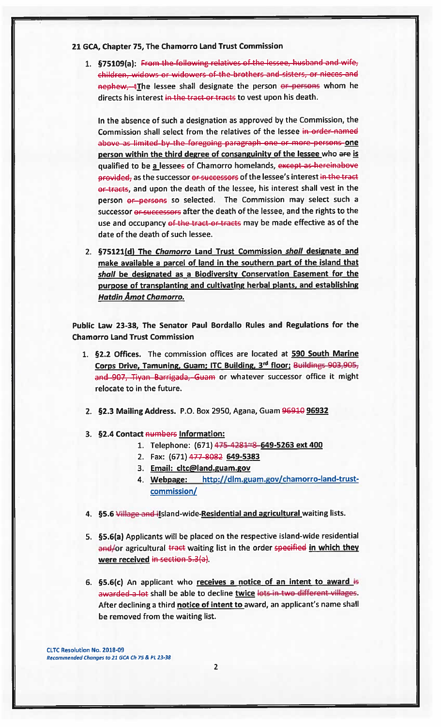21 GCA, Chapter 75, The Chamorro Land Trust Commission

1. §75109(a): From the following relatives of the lessee, husband and wife, children, widows or widowers of the brothers and sisters, or nieces and nephew, +The lessee shall designate the person or persons whom he directs his interest in the tract or tracts to vest upon his death.

In the absence of such a designation as approved by the Commission, the Commission shall select from the relatives of the lessee in order-named above as limited by the foregoing paragraph one or more persons one person within the third degree of consanguinity of the lessee who are is qualified to be a lessees of Chamorro homelands, except as hereinabove provided, as the successor or successors of the lessee's interest in the tract or tracts, and upon the death of the lessee, his interest shall vest in the person or persons so selected. The Commission may select such a successor or successors after the death of the lessee, and the rights to the use and occupancy of the tract-or-tracts may be made effective as of the date of the death of such lessee.

2. §75121(d) The Chamorro Land Trust Commission shall designate and make available a parcel of land in the southern part of the island that shall be designated as a Biodiversity Conservation Easement for the purpose of transplanting and cultivating herbal plants, and establishing **Hatdin Amot Chamorro.** 

Public Law 23-38, The Senator Paul Bordallo Rules and Regulations for the **Chamorro Land Trust Commission** 

- 1. §2.2 Offices. The commission offices are located at 590 South Marine Corps Drive, Tamuning, Guam; ITC Building, 3rd floor; Buildings 903,905, and 907, Tiyan Barrigada, Guam or whatever successor office it might relocate to in the future.
- 2. §2.3 Mailing Address. P.O. Box 2950, Agana, Guam 96910 96932
- 3. §2.4 Contact numbers Information:
	- 1. Telephone: (671) 475-4281~8-649-5263 ext 400
	- 2. Fax: (671) 477-8082 649-5383
	- 3. Email: cltc@land.guam.gov
	- 4. Webpage: http://dlm.guam.gov/chamorro-land-trustcommission/
- 4. §5.6 Village and itsland-wide-Residential and agricultural waiting lists.
- 5. §5.6(a) Applicants will be placed on the respective island-wide residential and/or agricultural tract waiting list in the order specified in which they were received in section  $5.3(a)$ .
- 6. §5.6(c) An applicant who receives a notice of an intent to award is awarded-a-lot shall be able to decline twice lots in two different villages. After declining a third notice of intent to award, an applicant's name shall be removed from the waiting list.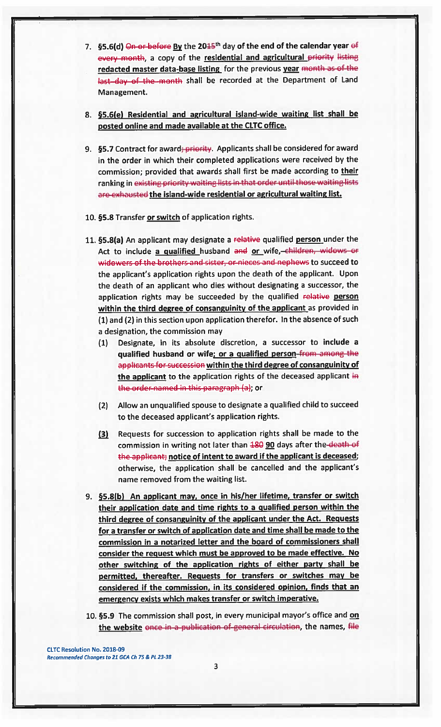- 7. §5.6(d) On or before By the 2015<sup>th</sup> day of the end of the calendar year of every month, a copy of the residential and agricultural priority listing redacted master data-base listing for the previous year month as of the last day of the month shall be recorded at the Department of Land Management.
- 8. §5.6(e) Residential and agricultural island-wide waiting list shall be posted online and made available at the CLTC office.
- 9. §5.7 Contract for award; priority. Applicants shall be considered for award in the order in which their completed applications were received by the commission; provided that awards shall first be made according to their ranking in existing priority waiting lists in that order until those waiting lists are exhausted the island-wide residential or agricultural waiting list.
- 10. §5.8 Transfer or switch of application rights.
- 11. §5.8(a) An applicant may designate a relative qualified person under the Act to include a qualified husband and or wife,-children, widows or widowers of the brothers and sister, or nieces and nephews to succeed to the applicant's application rights upon the death of the applicant. Upon the death of an applicant who dies without designating a successor, the application rights may be succeeded by the qualified relative person within the third degree of consanguinity of the applicant as provided in (1) and (2) in this section upon application therefor. In the absence of such a designation, the commission may
	- Designate, in its absolute discretion, a successor to include a  $(1)$ qualified husband or wife; or a qualified person-from among the applicants for succession within the third degree of consanguinity of the applicant to the application rights of the deceased applicant in the order-named in this paragraph (a); or
	- (2) Allow an unqualified spouse to designate a qualified child to succeed to the deceased applicant's application rights.
	- Requests for succession to application rights shall be made to the  $\mathbf{E}$ commission in writing not later than 180 90 days after the-death of the applicant; notice of intent to award if the applicant is deceased; otherwise, the application shall be cancelled and the applicant's name removed from the waiting list.
- 9. §5.8(b) An applicant may, once in his/her lifetime, transfer or switch their application date and time rights to a qualified person within the third degree of consanguinity of the applicant under the Act. Requests for a transfer or switch of application date and time shall be made to the commission in a notarized letter and the board of commissioners shall consider the request which must be approved to be made effective. No other switching of the application rights of either party shall be permitted, thereafter. Requests for transfers or switches may be considered if the commission, in its considered opinion, finds that an emergency exists which makes transfer or switch imperative.
- 10. §5.9 The commission shall post, in every municipal mayor's office and **on** the website once in a publication of general circulation, the names, file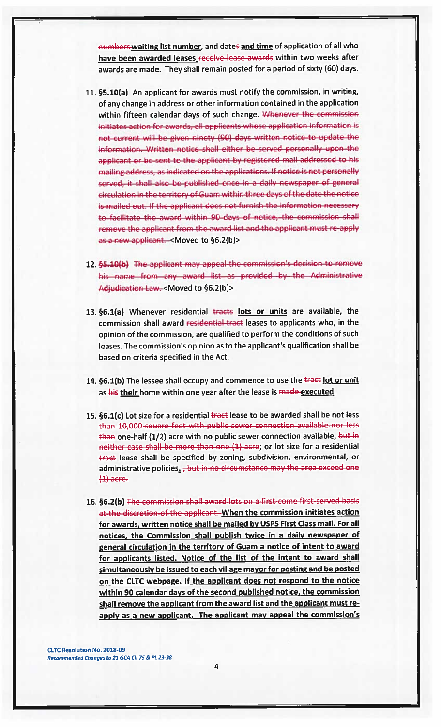numbers waiting list number, and dates and time of application of all who have been awarded leases receive lease awards within two weeks after awards are made. They shall remain posted for a period of sixty (60) days.

- 11. §5.10(a) An applicant for awards must notify the commission, in writing, of any change in address or other information contained in the application within fifteen calendar days of such change. Whenever the commission initiates action for awards, all applicants whose application information is not current will be given ninety (90) days written notice to update the information. Written notice shall either be served personally upon the applicant or be sent to the applicant by registered mail addressed to his mailing address, as indicated on the applications. If notice is not personally served, it shall also be published once in a daily newspaper of general circulation in the territory of Guam within three days of the date the notice is mailed out. If the applicant does not furnish the information necessary to facilitate the award within 90 days of notice, the commission shall remove the applicant from the award list and the applicant must re-apply as a new applicant. < Moved to §6.2(b)>
- 12. §5.10(b) The applicant may appeal the commission's decision to remove his name from any award list as provided by the Administrative Adjudication Law. < Moved to §6.2(b)>
- 13. §6.1(a) Whenever residential tracts lots or units are available, the commission shall award residential tract leases to applicants who, in the opinion of the commission, are qualified to perform the conditions of such leases. The commission's opinion as to the applicant's qualification shall be based on criteria specified in the Act.
- 14. §6.1(b) The lessee shall occupy and commence to use the tract lot or unit as his their home within one year after the lease is made-executed.
- 15. §6.1(c) Lot size for a residential tract lease to be awarded shall be not less than 10,000-square feet with-public sewer connection available nor less than one-half (1/2) acre with no public sewer connection available, but in neither case shall be more than one (1) acre; or lot size for a residential tract lease shall be specified by zoning, subdivision, environmental, or administrative policies. <del>, but in no circumstance may the area exceed one</del>  $<sub>4</sub>$ -acre.</sub>
- 16. §6.2(b) The commission shall award lots on a first-come first-served basis at the discretion of the applicant. When the commission initiates action for awards, written notice shall be mailed by USPS First Class mail. For all notices, the Commission shall publish twice in a daily newspaper of general circulation in the territory of Guam a notice of intent to award for applicants listed. Notice of the list of the intent to award shall simultaneously be issued to each village mayor for posting and be posted on the CLTC webpage. If the applicant does not respond to the notice within 90 calendar days of the second published notice, the commission shall remove the applicant from the award list and the applicant must reapply as a new applicant. The applicant may appeal the commission's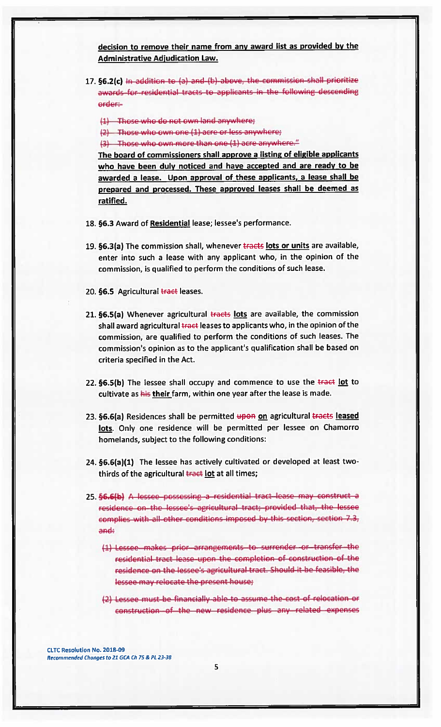decision to remove their name from any award list as provided by the **Administrative Adjudication Law.** 

- 17. §6.2(c) In addition to (a) and (b) above, the commission shall prioritize awards for residential tracts to applicants in the following descending order:-
	- (1) Those who do not own land anywhere;
	- (2) Those who own one (1) acre or less anywhere;
	- (3) Those who own more than one (1) acre anywhere."

The board of commissioners shall approve a listing of eligible applicants who have been duly noticed and have accepted and are ready to be awarded a lease. Upon approval of these applicants, a lease shall be prepared and processed. These approved leases shall be deemed as ratified.

- 18. §6.3 Award of Residential lease; lessee's performance.
- 19. §6.3(a) The commission shall, whenever tracts lots or units are available, enter into such a lease with any applicant who, in the opinion of the commission, is qualified to perform the conditions of such lease.
- 20. §6.5 Agricultural tract leases.
- 21. §6.5(a) Whenever agricultural tracts lots are available, the commission shall award agricultural tract leases to applicants who, in the opinion of the commission, are qualified to perform the conditions of such leases. The commission's opinion as to the applicant's qualification shall be based on criteria specified in the Act.
- 22. §6.5(b) The lessee shall occupy and commence to use the tract lot to cultivate as his their farm, within one year after the lease is made.
- 23. §6.6(a) Residences shall be permitted upon on agricultural tracts leased lots. Only one residence will be permitted per lessee on Chamorro homelands, subject to the following conditions:
- 24. §6.6(a)(1) The lessee has actively cultivated or developed at least twothirds of the agricultural tract lot at all times;
- 25. §6.6(b) A lessee possessing a residential tract lease may construct a residence on the lessee's agricultural tract; provided that, the lessee complies with all other conditions imposed by this section, section 7.3, and+
	- (1) Lessee makes prior arrangements to surrender or transfer the residential tract lease-upon the completion of construction of the residence on the lessee's agricultural tract. Should it be feasible, the lessee may relocate the present house;
	- (2) Lessee must be financially able to assume the cost of relocation or construction of the new residence plus any related expenses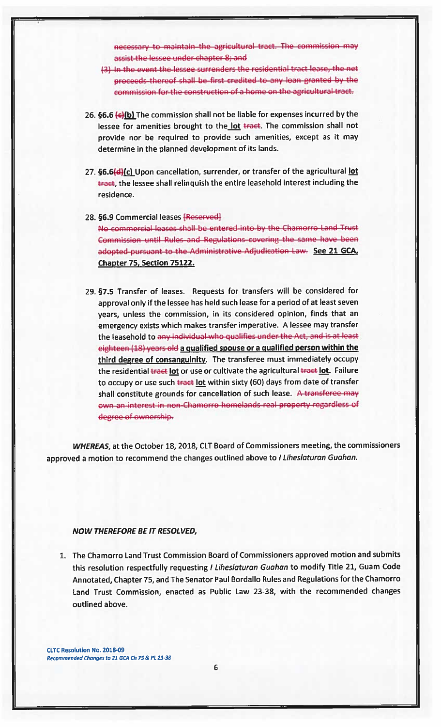necessary to maintain the agricultural tract. The commission may assist-the lessee under-chapter 8; and

- (3) In the event the lessee surrenders the residential tract lease, the net proceeds thereof shall be first credited to any loan granted by the commission for the construction of a home on the agricultural tract.
- 26. §6.6 (c)(b) The commission shall not be liable for expenses incurred by the lessee for amenities brought to the lot tract. The commission shall not provide nor be required to provide such amenities, except as it may determine in the planned development of its lands.
- 27. §6.6(d)(c) Upon cancellation, surrender, or transfer of the agricultural lot tract, the lessee shall relinguish the entire leasehold interest including the residence.
- 28. §6.9 Commercial leases [Reserved] No commercial leases shall be entered into by the Chamorro-Land Trust Commission until Rules and Regulations covering the same have been adopted-pursuant to the Administrative Adjudication Law. See 21 GCA, Chapter 75, Section 75122.
- 29. §7.5 Transfer of leases. Requests for transfers will be considered for approval only if the lessee has held such lease for a period of at least seven years, unless the commission, in its considered opinion, finds that an emergency exists which makes transfer imperative. A lessee may transfer the leasehold to any individual who qualifies under the Act, and is at least eighteen (18) years old a qualified spouse or a qualified person within the third degree of consanguinity. The transferee must immediately occupy the residential tract lot or use or cultivate the agricultural tract lot. Failure to occupy or use such tract lot within sixty (60) days from date of transfer shall constitute grounds for cancellation of such lease. A transferee may own an interest in non-Chamorro homelands real property regardless of degree of ownership.

**WHEREAS**, at the October 18, 2018, CLT Board of Commissioners meeting, the commissioners approved a motion to recommend the changes outlined above to I Liheslaturan Guahan.

### NOW THEREFORE BE IT RESOLVED.

1. The Chamorro Land Trust Commission Board of Commissioners approved motion and submits this resolution respectfully requesting I Liheslaturan Guahan to modify Title 21, Guam Code Annotated, Chapter 75, and The Senator Paul Bordallo Rules and Regulations for the Chamorro Land Trust Commission, enacted as Public Law 23-38, with the recommended changes outlined above.